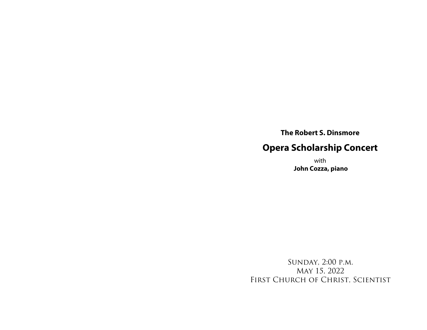**The Robert S. Dinsmore**

## **Opera Scholarship Concert**

with **John Cozza, piano**

Sunday, 2:00 p.m. May 15, 2022 First Church of Christ, Scientist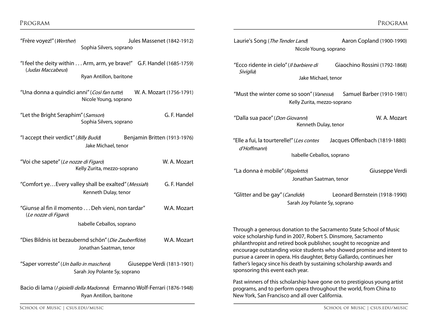| "I feel the deity within Arm, arm, ye brave!" G.F. Handel (1685-1759)<br>(Judas Maccabeus) |  |
|--------------------------------------------------------------------------------------------|--|
| Ryan Antillon, baritone                                                                    |  |

"Frère voyez!" (Werther) Jules Massenet (1842-1912) Sophia Silvers, soprano

- "Una donna a quindici anni" (Così fan tutte) W. A. Mozart (1756-1791) Nicole Young, soprano
- "Let the Bright Seraphim" (Samson) G. F. Handel Sophia Silvers, soprano
- "I accept their verdict" (Billy Budd) Benjamin Britten (1913-1976) Jake Michael, tenor
- "Voi che sapete" (Le nozze di Figaro) W. A. Mozart Kelly Zurita, mezzo-soprano
- "Comfort ye...Every valley shall be exalted" (Messiah) G. F. Handel Kenneth Dulay, tenor
- "Giunse al fin il momento . . . Deh vieni, non tardar" W.A. Mozart (Le nozze di Figaro)
	- Isabelle Ceballos, soprano
- "Dies Bildnis ist bezaubernd schön" (Die Zauberflöte) W.A. Mozart Jonathan Saatman, tenor
- "Saper vorreste" (Un ballo in maschera) Giuseppe Verdi (1813-1901) Sarah Joy Polante Sy, soprano

Bacio di lama (I gioielli della Madonna) Ermanno Wolf-Ferrari (1876-1948) Ryan Antillon, baritone

SCHOOL OF MUSIC | CSUS.EDU/MUSIC | CSUS.EDU/MUSIC | CSUS.EDU/MUSIC | CSUS.EDU/MUSIC | CSUS.EDU/MUSIC | CSUS.EDU/MUSIC

| MUSIC   CSUS.EDU/MUSIC |  |
|------------------------|--|
|------------------------|--|

| Laurie's Song (The Tender Land)<br>Nicole Young, soprano                                                                                                                                                                                                                                                                                                                                                                                                                  | Aaron Copland (1900-1990)     |  |  |  |
|---------------------------------------------------------------------------------------------------------------------------------------------------------------------------------------------------------------------------------------------------------------------------------------------------------------------------------------------------------------------------------------------------------------------------------------------------------------------------|-------------------------------|--|--|--|
| "Ecco ridente in cielo" (Il barbiere di<br>Siviglia)<br>Jake Michael, tenor                                                                                                                                                                                                                                                                                                                                                                                               | Giaochino Rossini (1792-1868) |  |  |  |
| "Must the winter come so soon" ( <i>Vanessa</i> )<br>Kelly Zurita, mezzo-soprano                                                                                                                                                                                                                                                                                                                                                                                          | Samuel Barber (1910-1981)     |  |  |  |
| "Dalla sua pace" (Don Giovanni)<br>Kenneth Dulay, tenor                                                                                                                                                                                                                                                                                                                                                                                                                   | W. A. Mozart                  |  |  |  |
| "Elle a fui, la tourterelle!" (Les contes<br>d'Hoffmann)<br>Isabelle Ceballos, soprano                                                                                                                                                                                                                                                                                                                                                                                    | Jacques Offenbach (1819-1880) |  |  |  |
| "La donna è mobile" (Rigoletto)<br>Jonathan Saatman, tenor                                                                                                                                                                                                                                                                                                                                                                                                                | Giuseppe Verdi                |  |  |  |
| "Glitter and be gay" (Candide)<br>Sarah Joy Polante Sy, soprano                                                                                                                                                                                                                                                                                                                                                                                                           | Leonard Bernstein (1918-1990) |  |  |  |
| Through a generous donation to the Sacramento State School of Music<br>voice scholarship fund in 2007, Robert S. Dinsmore, Sacramento<br>philanthropist and retired book publisher, sought to recognize and<br>encourage outstanding voice students who showed promise and intent to<br>pursue a career in opera. His daughter, Betsy Gallardo, continues her<br>father's legacy since his death by sustaining scholarship awards and<br>sponsoring this event each year. |                               |  |  |  |
| Past winners of this scholarship have gone on to prestigious young artist<br>programs, and to perform opera throughout the world, from China to<br>New York, San Francisco and all over California.                                                                                                                                                                                                                                                                       |                               |  |  |  |